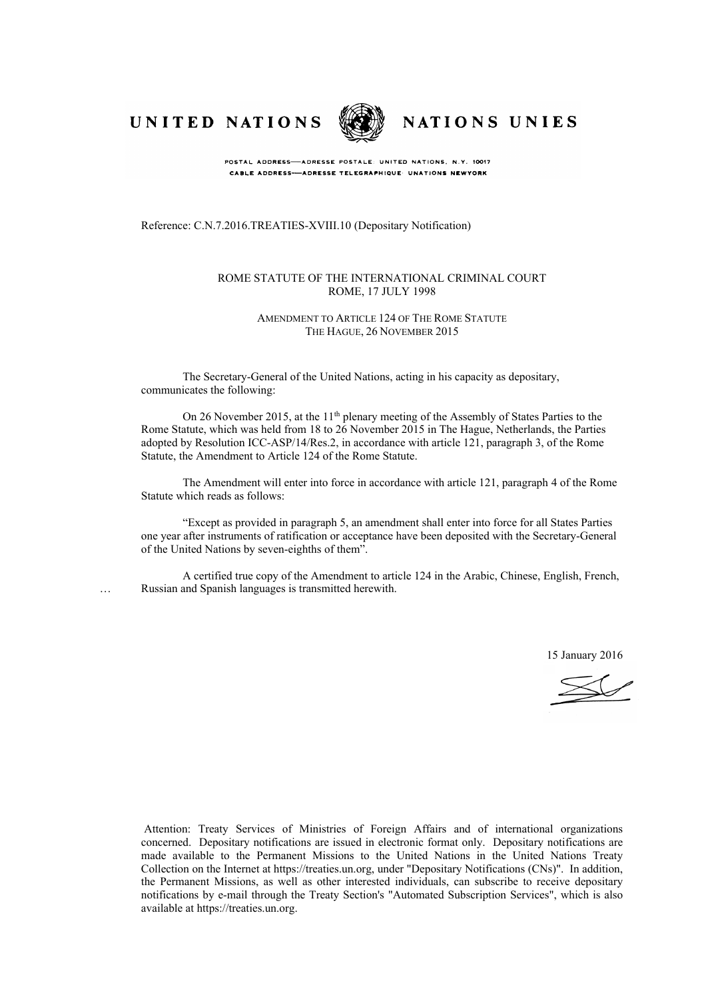UNITED NATIONS



NATIONS UNIES

POSTAL ADDRESS-ADRESSE POSTALE: UNITED NATIONS, N.Y. 10017 CABLE ADDRESS-ADRESSE TELEGRAPHIQUE UNATIONS NEWYORK

Reference: C.N.7.2016.TREATIES-XVIII.10 (Depositary Notification)

#### ROME STATUTE OF THE INTERNATIONAL CRIMINAL COURT ROME, 17 JULY 1998

#### AMENDMENT TO ARTICLE 124 OF THE ROME STATUTE THE HAGUE, 26 NOVEMBER 2015

The Secretary-General of the United Nations, acting in his capacity as depositary, communicates the following:

On 26 November 2015, at the 11<sup>th</sup> plenary meeting of the Assembly of States Parties to the Rome Statute, which was held from 18 to 26 November 2015 in The Hague, Netherlands, the Parties adopted by Resolution ICC-ASP/14/Res.2, in accordance with article 121, paragraph 3, of the Rome Statute, the Amendment to Article 124 of the Rome Statute.

The Amendment will enter into force in accordance with article 121, paragraph 4 of the Rome Statute which reads as follows:

"Except as provided in paragraph 5, an amendment shall enter into force for all States Parties one year after instruments of ratification or acceptance have been deposited with the Secretary-General of the United Nations by seven-eighths of them".

A certified true copy of the Amendment to article 124 in the Arabic, Chinese, English, French, … Russian and Spanish languages is transmitted herewith.

15 January 2016

Attention: Treaty Services of Ministries of Foreign Affairs and of international organizations concerned. Depositary notifications are issued in electronic format only. Depositary notifications are made available to the Permanent Missions to the United Nations in the United Nations Treaty Collection on the Internet at https://treaties.un.org, under "Depositary Notifications (CNs)". In addition, the Permanent Missions, as well as other interested individuals, can subscribe to receive depositary notifications by e-mail through the Treaty Section's "Automated Subscription Services", which is also available at https://treaties.un.org.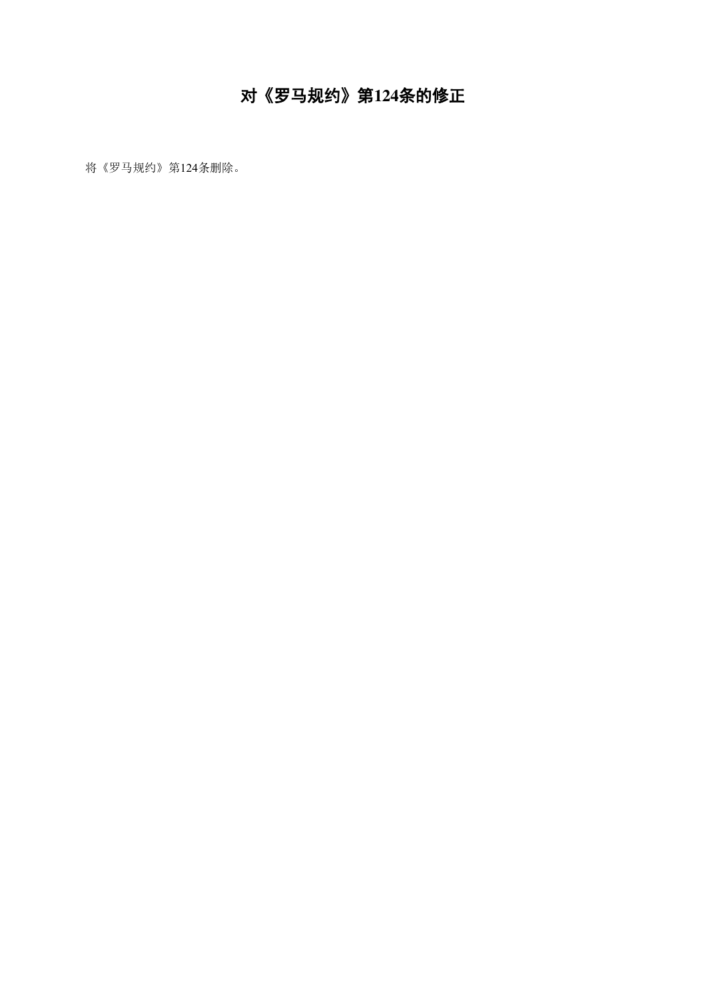## 对《罗马规约》第**124**条的修正

将《罗马规约》第124条删除。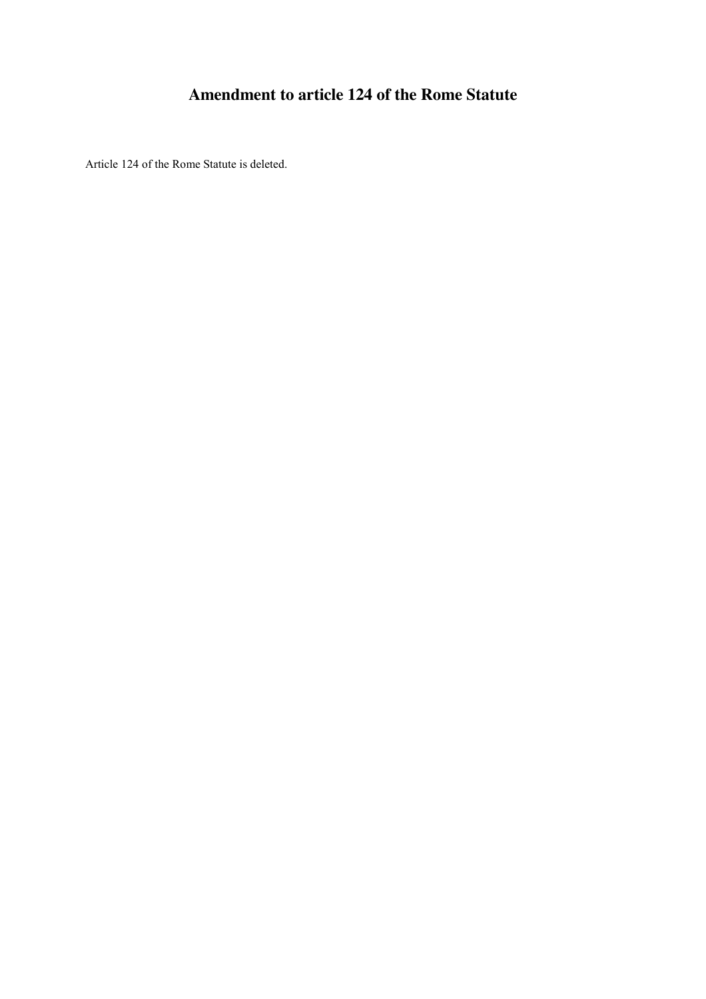#### **Amendment to article 124 of the Rome Statute**

Article 124 of the Rome Statute is deleted.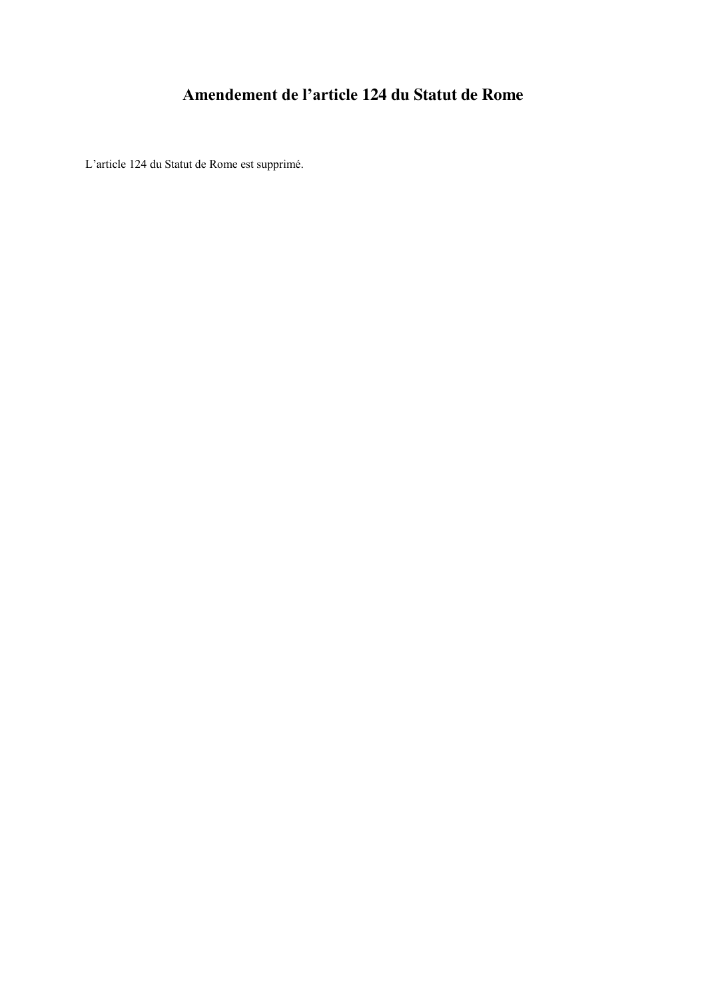### **Amendement de l'article 124 du Statut de Rome**

L'article 124 du Statut de Rome est supprimé.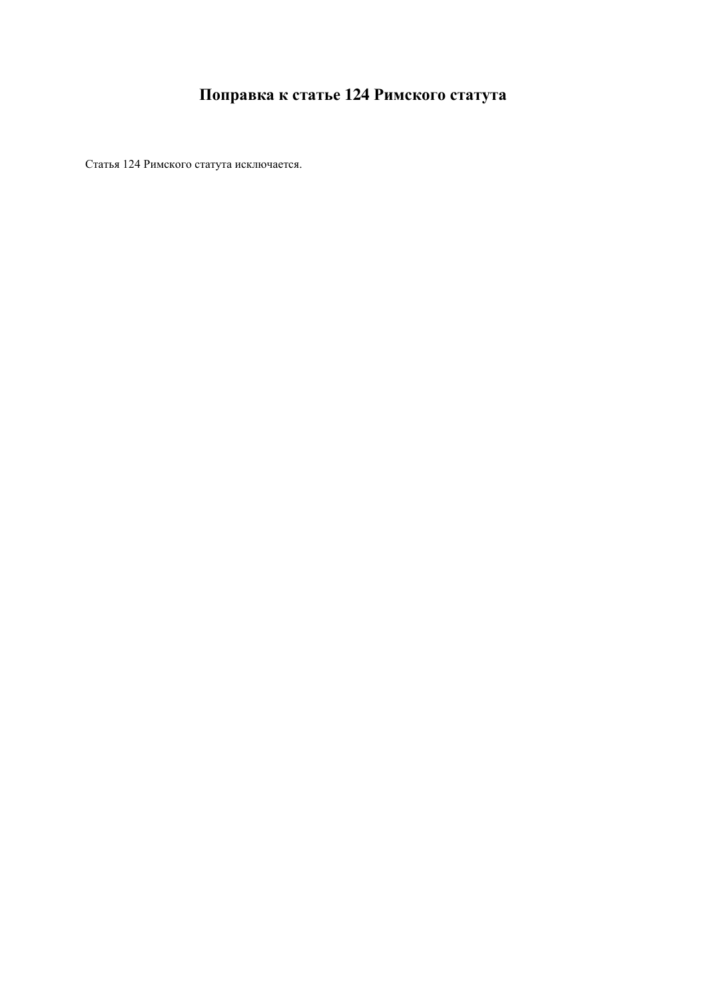### **Поправка к статье 124 Римского статута**

Статья 124 Римского статута исключается.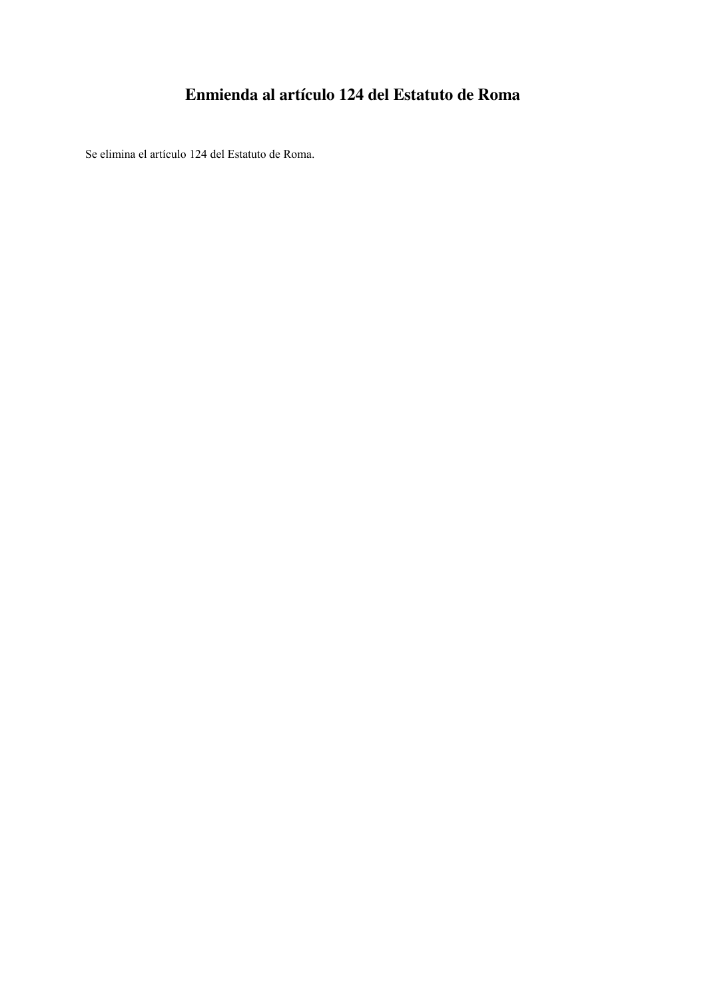#### **Enmienda al artículo 124 del Estatuto de Roma**

Se elimina el artículo 124 del Estatuto de Roma.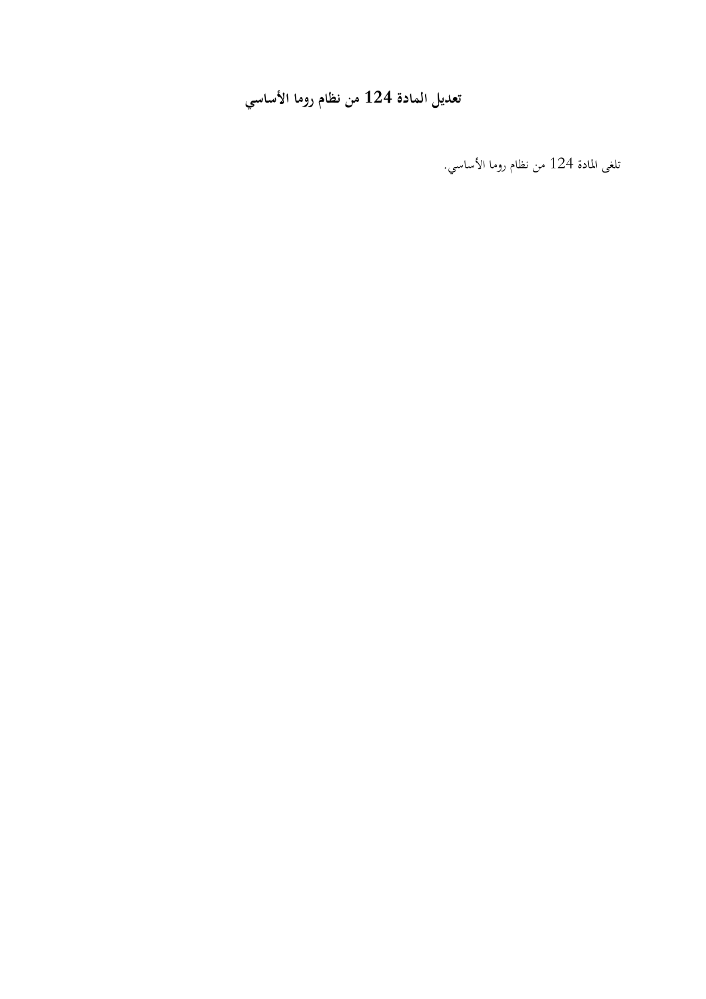# **تعديل المادة 124 من نظام روما الساسي**

تلغى المادة 124 من نظام روما الأساسي.